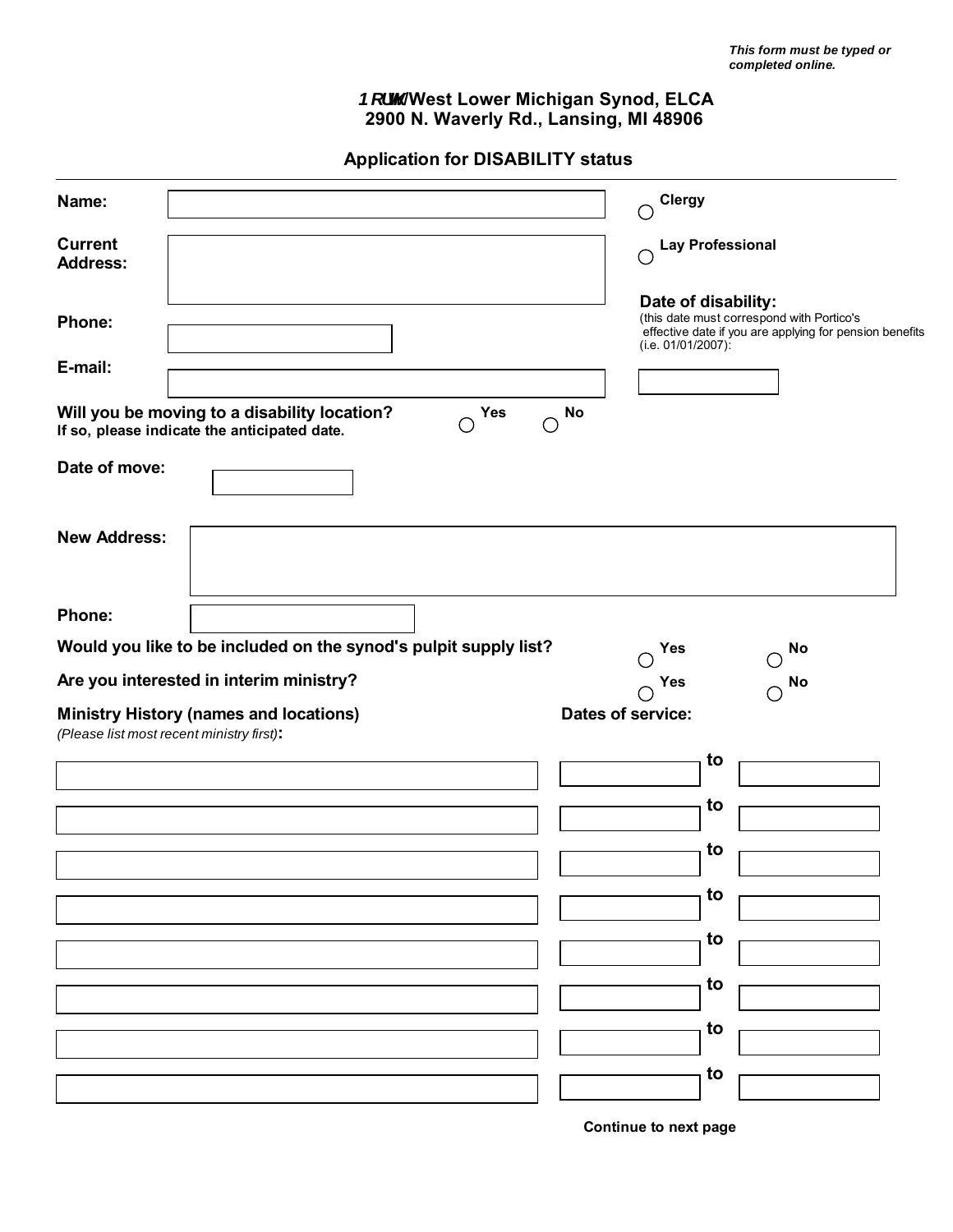## *Bcfh* /West Lower Michigan Synod, ELCA **2900 N. Waverly Rd., Lansing, MI 48906**

 **Application for DISABILITY status**

| Name:                             |                                                                                                                                       |                         | <b>Clergy</b><br>С                                                                     |                                                         |
|-----------------------------------|---------------------------------------------------------------------------------------------------------------------------------------|-------------------------|----------------------------------------------------------------------------------------|---------------------------------------------------------|
| <b>Current</b><br><b>Address:</b> |                                                                                                                                       |                         | <b>Lay Professional</b><br>C                                                           |                                                         |
| Phone:<br>E-mail:                 |                                                                                                                                       |                         | Date of disability:<br>(this date must correspond with Portico's<br>(i.e. 01/01/2007): | effective date if you are applying for pension benefits |
|                                   | Will you be moving to a disability location?<br>О<br>If so, please indicate the anticipated date.                                     | Yes<br><b>No</b><br>( ) |                                                                                        |                                                         |
| Date of move:                     |                                                                                                                                       |                         |                                                                                        |                                                         |
| <b>New Address:</b>               |                                                                                                                                       |                         |                                                                                        |                                                         |
| Phone:                            |                                                                                                                                       |                         |                                                                                        |                                                         |
|                                   | Would you like to be included on the synod's pulpit supply list?                                                                      |                         | Yes                                                                                    | No                                                      |
|                                   | Are you interested in interim ministry?<br><b>Ministry History (names and locations)</b><br>(Please list most recent ministry first): |                         | Yes<br>Dates of service:                                                               | No<br>O                                                 |
|                                   |                                                                                                                                       |                         | to                                                                                     |                                                         |
|                                   |                                                                                                                                       |                         | to<br>to                                                                               |                                                         |
|                                   |                                                                                                                                       |                         | to                                                                                     |                                                         |
|                                   |                                                                                                                                       |                         | to                                                                                     |                                                         |
|                                   |                                                                                                                                       |                         | to                                                                                     |                                                         |
|                                   |                                                                                                                                       |                         | to                                                                                     |                                                         |
|                                   |                                                                                                                                       |                         | to                                                                                     |                                                         |

**Continue to next page**